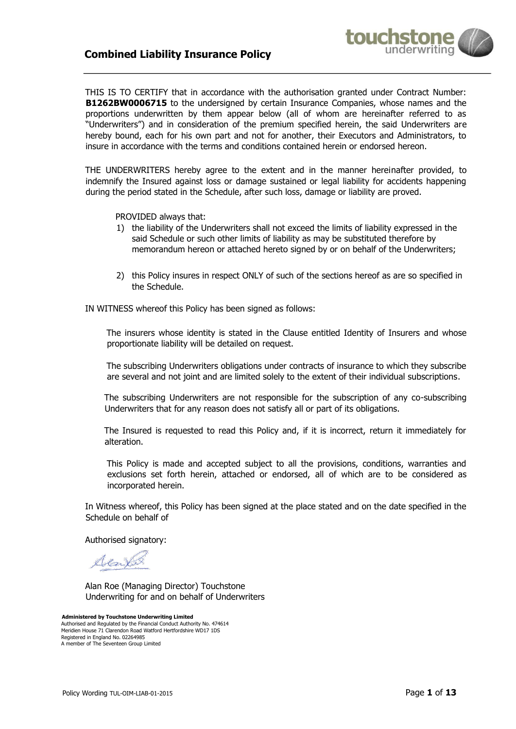# **Combined Liability Insurance Policy**



THIS IS TO CERTIFY that in accordance with the authorisation granted under Contract Number: **B1262BW0006715** to the undersigned by certain Insurance Companies, whose names and the proportions underwritten by them appear below (all of whom are hereinafter referred to as "Underwriters") and in consideration of the premium specified herein, the said Underwriters are hereby bound, each for his own part and not for another, their Executors and Administrators, to insure in accordance with the terms and conditions contained herein or endorsed hereon.

THE UNDERWRITERS hereby agree to the extent and in the manner hereinafter provided, to indemnify the Insured against loss or damage sustained or legal liability for accidents happening during the period stated in the Schedule, after such loss, damage or liability are proved.

PROVIDED always that:

- 1) the liability of the Underwriters shall not exceed the limits of liability expressed in the said Schedule or such other limits of liability as may be substituted therefore by memorandum hereon or attached hereto signed by or on behalf of the Underwriters;
- 2) this Policy insures in respect ONLY of such of the sections hereof as are so specified in the Schedule.

IN WITNESS whereof this Policy has been signed as follows:

The insurers whose identity is stated in the Clause entitled Identity of Insurers and whose proportionate liability will be detailed on request.

The subscribing Underwriters obligations under contracts of insurance to which they subscribe are several and not joint and are limited solely to the extent of their individual subscriptions.

The subscribing Underwriters are not responsible for the subscription of any co-subscribing Underwriters that for any reason does not satisfy all or part of its obligations.

The Insured is requested to read this Policy and, if it is incorrect, return it immediately for alteration.

This Policy is made and accepted subject to all the provisions, conditions, warranties and exclusions set forth herein, attached or endorsed, all of which are to be considered as incorporated herein.

In Witness whereof, this Policy has been signed at the place stated and on the date specified in the Schedule on behalf of

Authorised signatory:

dente

Alan Roe (Managing Director) Touchstone Underwriting for and on behalf of Underwriters

**Administered by Touchstone Underwriting Limited**  Authorised and Regulated by the Financial Conduct Authority No. 474614 Meridien House 71 Clarendon Road Watford Hertfordshire WD17 1DS Registered in England No. 02264985 A member of The Seventeen Group Limited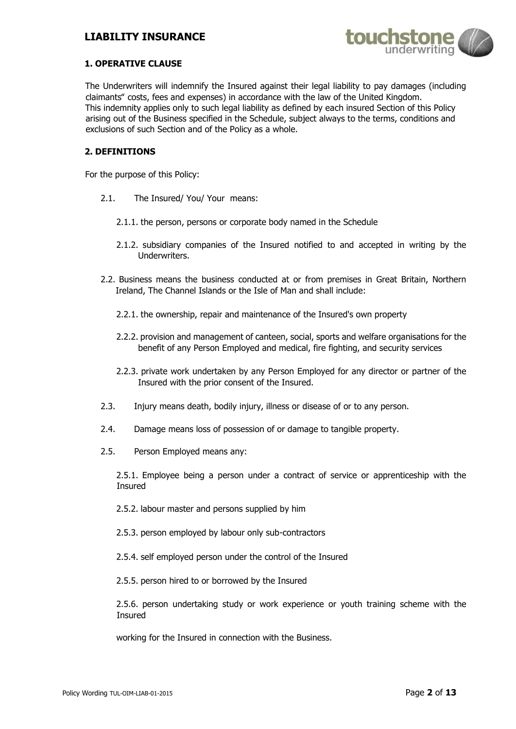# **LIABILITY INSURANCE**



### **1. OPERATIVE CLAUSE**

The Underwriters will indemnify the Insured against their legal liability to pay damages (including claimants" costs, fees and expenses) in accordance with the law of the United Kingdom. This indemnity applies only to such legal liability as defined by each insured Section of this Policy arising out of the Business specified in the Schedule, subject always to the terms, conditions and exclusions of such Section and of the Policy as a whole.

### **2. DEFINITIONS**

For the purpose of this Policy:

- 2.1. The Insured/ You/ Your means:
	- 2.1.1. the person, persons or corporate body named in the Schedule
	- 2.1.2. subsidiary companies of the Insured notified to and accepted in writing by the Underwriters.
- 2.2. Business means the business conducted at or from premises in Great Britain, Northern Ireland, The Channel Islands or the Isle of Man and shall include:
	- 2.2.1. the ownership, repair and maintenance of the Insured's own property
	- 2.2.2. provision and management of canteen, social, sports and welfare organisations for the benefit of any Person Employed and medical, fire fighting, and security services
	- 2.2.3. private work undertaken by any Person Employed for any director or partner of the Insured with the prior consent of the Insured.
- 2.3. Injury means death, bodily injury, illness or disease of or to any person.
- 2.4. Damage means loss of possession of or damage to tangible property.
- 2.5. Person Employed means any:

2.5.1. Employee being a person under a contract of service or apprenticeship with the Insured

- 2.5.2. labour master and persons supplied by him
- 2.5.3. person employed by labour only sub-contractors
- 2.5.4. self employed person under the control of the Insured
- 2.5.5. person hired to or borrowed by the Insured

2.5.6. person undertaking study or work experience or youth training scheme with the Insured

working for the Insured in connection with the Business.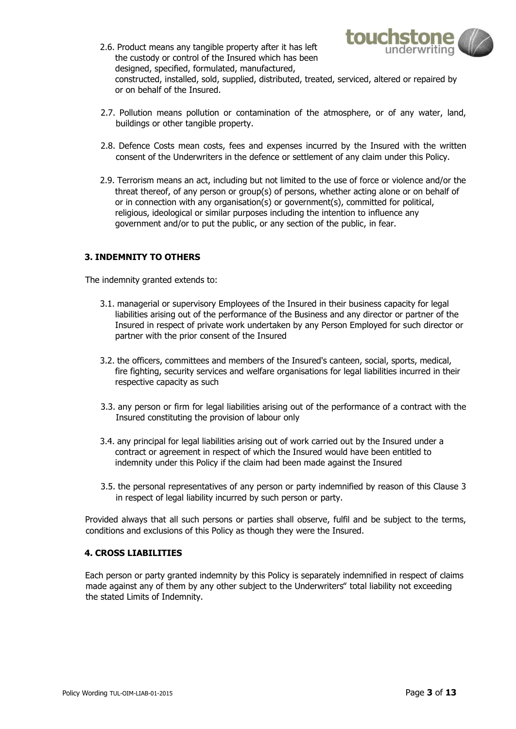

- 2.6. Product means any tangible property after it has left the custody or control of the Insured which has been designed, specified, formulated, manufactured, constructed, installed, sold, supplied, distributed, treated, serviced, altered or repaired by or on behalf of the Insured.
- 2.7. Pollution means pollution or contamination of the atmosphere, or of any water, land, buildings or other tangible property.
- 2.8. Defence Costs mean costs, fees and expenses incurred by the Insured with the written consent of the Underwriters in the defence or settlement of any claim under this Policy.
- 2.9. Terrorism means an act, including but not limited to the use of force or violence and/or the threat thereof, of any person or group(s) of persons, whether acting alone or on behalf of or in connection with any organisation(s) or government(s), committed for political, religious, ideological or similar purposes including the intention to influence any government and/or to put the public, or any section of the public, in fear.

## **3. INDEMNITY TO OTHERS**

The indemnity granted extends to:

- 3.1. managerial or supervisory Employees of the Insured in their business capacity for legal liabilities arising out of the performance of the Business and any director or partner of the Insured in respect of private work undertaken by any Person Employed for such director or partner with the prior consent of the Insured
- 3.2. the officers, committees and members of the Insured's canteen, social, sports, medical, fire fighting, security services and welfare organisations for legal liabilities incurred in their respective capacity as such
- 3.3. any person or firm for legal liabilities arising out of the performance of a contract with the Insured constituting the provision of labour only
- 3.4. any principal for legal liabilities arising out of work carried out by the Insured under a contract or agreement in respect of which the Insured would have been entitled to indemnity under this Policy if the claim had been made against the Insured
- 3.5. the personal representatives of any person or party indemnified by reason of this Clause 3 in respect of legal liability incurred by such person or party.

Provided always that all such persons or parties shall observe, fulfil and be subject to the terms, conditions and exclusions of this Policy as though they were the Insured.

### **4. CROSS LIABILITIES**

Each person or party granted indemnity by this Policy is separately indemnified in respect of claims made against any of them by any other subject to the Underwriters" total liability not exceeding the stated Limits of Indemnity.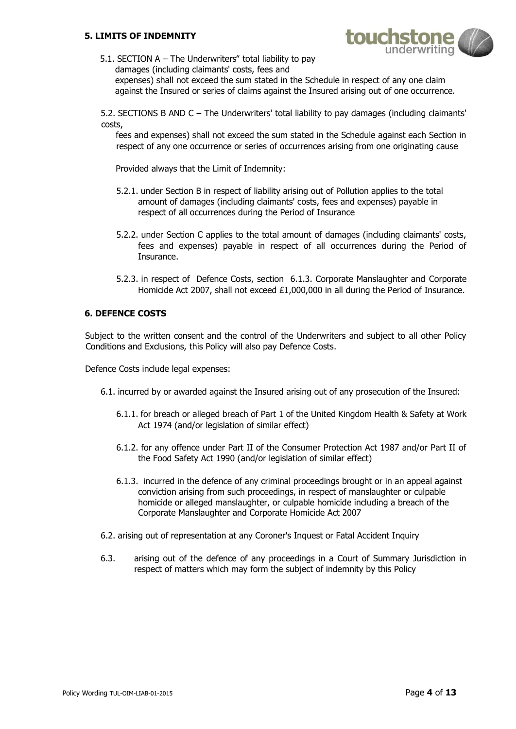## **5. LIMITS OF INDEMNITY**



5.1. SECTION A – The Underwriters" total liability to pay damages (including claimants' costs, fees and expenses) shall not exceed the sum stated in the Schedule in respect of any one claim against the Insured or series of claims against the Insured arising out of one occurrence.

5.2. SECTIONS B AND C – The Underwriters' total liability to pay damages (including claimants' costs,

fees and expenses) shall not exceed the sum stated in the Schedule against each Section in respect of any one occurrence or series of occurrences arising from one originating cause

Provided always that the Limit of Indemnity:

- 5.2.1. under Section B in respect of liability arising out of Pollution applies to the total amount of damages (including claimants' costs, fees and expenses) payable in respect of all occurrences during the Period of Insurance
- 5.2.2. under Section C applies to the total amount of damages (including claimants' costs, fees and expenses) payable in respect of all occurrences during the Period of Insurance.
- 5.2.3. in respect of Defence Costs, section 6.1.3. Corporate Manslaughter and Corporate Homicide Act 2007, shall not exceed £1,000,000 in all during the Period of Insurance.

### **6. DEFENCE COSTS**

Subject to the written consent and the control of the Underwriters and subject to all other Policy Conditions and Exclusions, this Policy will also pay Defence Costs.

Defence Costs include legal expenses:

- 6.1. incurred by or awarded against the Insured arising out of any prosecution of the Insured:
	- 6.1.1. for breach or alleged breach of Part 1 of the United Kingdom Health & Safety at Work Act 1974 (and/or legislation of similar effect)
	- 6.1.2. for any offence under Part II of the Consumer Protection Act 1987 and/or Part II of the Food Safety Act 1990 (and/or legislation of similar effect)
	- 6.1.3. incurred in the defence of any criminal proceedings brought or in an appeal against conviction arising from such proceedings, in respect of manslaughter or culpable homicide or alleged manslaughter, or culpable homicide including a breach of the Corporate Manslaughter and Corporate Homicide Act 2007
- 6.2. arising out of representation at any Coroner's Inquest or Fatal Accident Inquiry
- 6.3. arising out of the defence of any proceedings in a Court of Summary Jurisdiction in respect of matters which may form the subject of indemnity by this Policy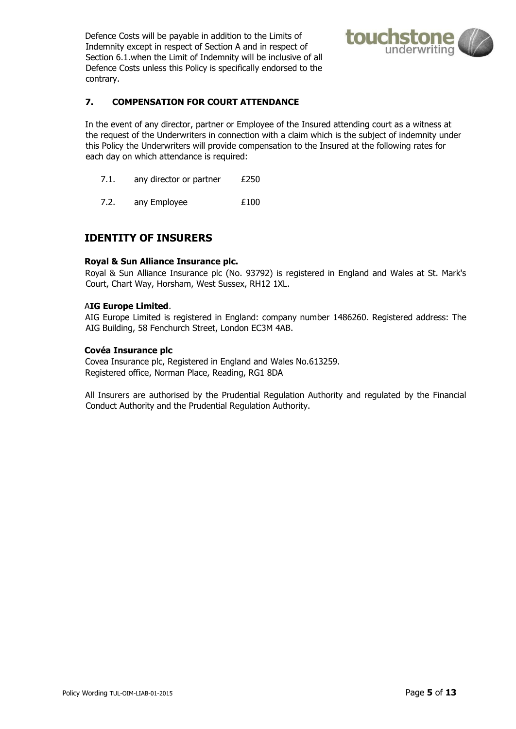Defence Costs will be payable in addition to the Limits of Indemnity except in respect of Section A and in respect of Section 6.1.when the Limit of Indemnity will be inclusive of all Defence Costs unless this Policy is specifically endorsed to the contrary.



## **7. COMPENSATION FOR COURT ATTENDANCE**

In the event of any director, partner or Employee of the Insured attending court as a witness at the request of the Underwriters in connection with a claim which is the subject of indemnity under this Policy the Underwriters will provide compensation to the Insured at the following rates for each day on which attendance is required:

- 7.1. any director or partner £250
- 7.2. any Employee E100

# **IDENTITY OF INSURERS**

### **Royal & Sun Alliance Insurance plc.**

Royal & Sun Alliance Insurance plc (No. 93792) is registered in England and Wales at St. Mark's Court, Chart Way, Horsham, West Sussex, RH12 1XL.

### A**IG Europe Limited**.

AIG Europe Limited is registered in England: company number 1486260. Registered address: The AIG Building, 58 Fenchurch Street, London EC3M 4AB.

### **Covéa Insurance plc**

Covea Insurance plc, Registered in England and Wales No.613259. Registered office, Norman Place, Reading, RG1 8DA

All Insurers are authorised by the Prudential Regulation Authority and regulated by the Financial Conduct Authority and the Prudential Regulation Authority.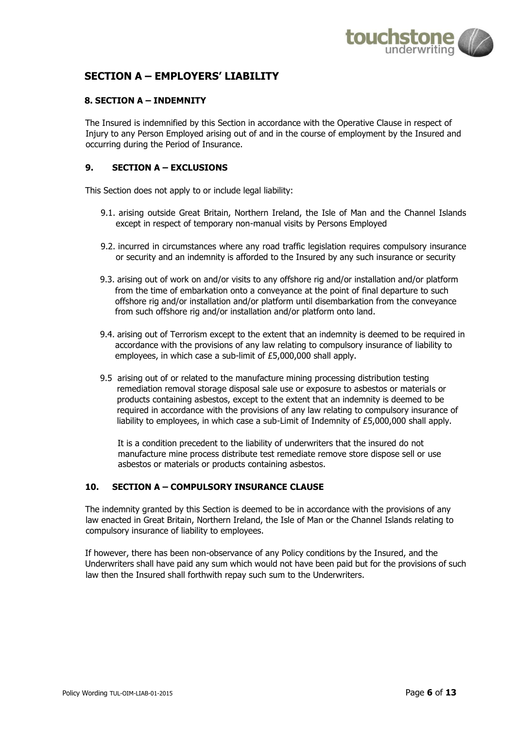

# **SECTION A – EMPLOYERS' LIABILITY**

## **8. SECTION A – INDEMNITY**

The Insured is indemnified by this Section in accordance with the Operative Clause in respect of Injury to any Person Employed arising out of and in the course of employment by the Insured and occurring during the Period of Insurance.

## **9. SECTION A – EXCLUSIONS**

This Section does not apply to or include legal liability:

- 9.1. arising outside Great Britain, Northern Ireland, the Isle of Man and the Channel Islands except in respect of temporary non-manual visits by Persons Employed
- 9.2. incurred in circumstances where any road traffic legislation requires compulsory insurance or security and an indemnity is afforded to the Insured by any such insurance or security
- 9.3. arising out of work on and/or visits to any offshore rig and/or installation and/or platform from the time of embarkation onto a conveyance at the point of final departure to such offshore rig and/or installation and/or platform until disembarkation from the conveyance from such offshore rig and/or installation and/or platform onto land.
- 9.4. arising out of Terrorism except to the extent that an indemnity is deemed to be required in accordance with the provisions of any law relating to compulsory insurance of liability to employees, in which case a sub-limit of £5,000,000 shall apply.
- 9.5 arising out of or related to the manufacture mining processing distribution testing remediation removal storage disposal sale use or exposure to asbestos or materials or products containing asbestos, except to the extent that an indemnity is deemed to be required in accordance with the provisions of any law relating to compulsory insurance of liability to employees, in which case a sub-Limit of Indemnity of £5,000,000 shall apply.

It is a condition precedent to the liability of underwriters that the insured do not manufacture mine process distribute test remediate remove store dispose sell or use asbestos or materials or products containing asbestos.

## **10. SECTION A – COMPULSORY INSURANCE CLAUSE**

The indemnity granted by this Section is deemed to be in accordance with the provisions of any law enacted in Great Britain, Northern Ireland, the Isle of Man or the Channel Islands relating to compulsory insurance of liability to employees.

If however, there has been non-observance of any Policy conditions by the Insured, and the Underwriters shall have paid any sum which would not have been paid but for the provisions of such law then the Insured shall forthwith repay such sum to the Underwriters.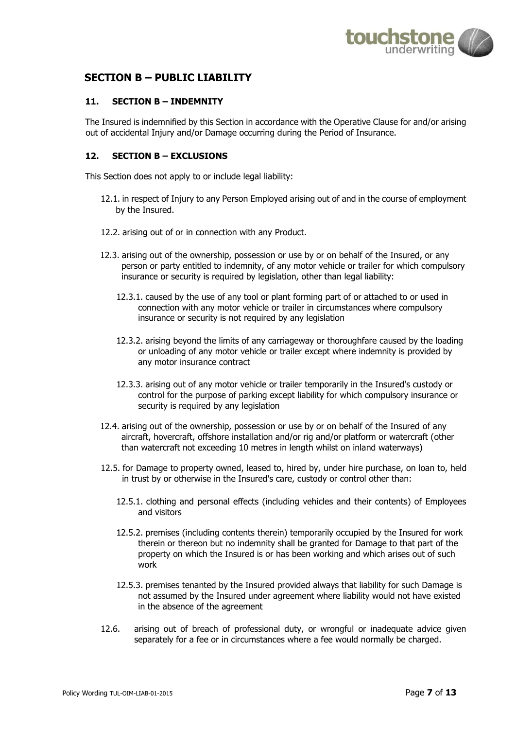

# **SECTION B – PUBLIC LIABILITY**

## **11. SECTION B – INDEMNITY**

The Insured is indemnified by this Section in accordance with the Operative Clause for and/or arising out of accidental Injury and/or Damage occurring during the Period of Insurance.

## **12. SECTION B – EXCLUSIONS**

This Section does not apply to or include legal liability:

- 12.1. in respect of Injury to any Person Employed arising out of and in the course of employment by the Insured.
- 12.2. arising out of or in connection with any Product.
- 12.3. arising out of the ownership, possession or use by or on behalf of the Insured, or any person or party entitled to indemnity, of any motor vehicle or trailer for which compulsory insurance or security is required by legislation, other than legal liability:
	- 12.3.1. caused by the use of any tool or plant forming part of or attached to or used in connection with any motor vehicle or trailer in circumstances where compulsory insurance or security is not required by any legislation
	- 12.3.2. arising beyond the limits of any carriageway or thoroughfare caused by the loading or unloading of any motor vehicle or trailer except where indemnity is provided by any motor insurance contract
	- 12.3.3. arising out of any motor vehicle or trailer temporarily in the Insured's custody or control for the purpose of parking except liability for which compulsory insurance or security is required by any legislation
- 12.4. arising out of the ownership, possession or use by or on behalf of the Insured of any aircraft, hovercraft, offshore installation and/or rig and/or platform or watercraft (other than watercraft not exceeding 10 metres in length whilst on inland waterways)
- 12.5. for Damage to property owned, leased to, hired by, under hire purchase, on loan to, held in trust by or otherwise in the Insured's care, custody or control other than:
	- 12.5.1. clothing and personal effects (including vehicles and their contents) of Employees and visitors
	- 12.5.2. premises (including contents therein) temporarily occupied by the Insured for work therein or thereon but no indemnity shall be granted for Damage to that part of the property on which the Insured is or has been working and which arises out of such work
	- 12.5.3. premises tenanted by the Insured provided always that liability for such Damage is not assumed by the Insured under agreement where liability would not have existed in the absence of the agreement
- 12.6. arising out of breach of professional duty, or wrongful or inadequate advice given separately for a fee or in circumstances where a fee would normally be charged.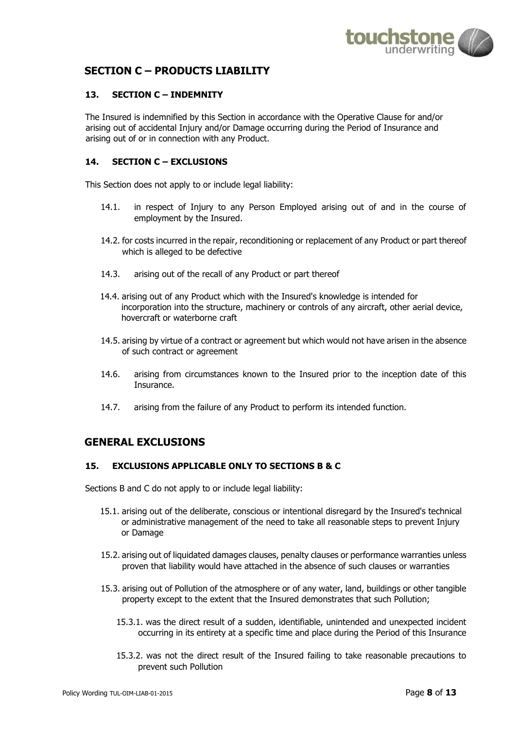

# **SECTION C – PRODUCTS LIABILITY**

# **13. SECTION C – INDEMNITY**

The Insured is indemnified by this Section in accordance with the Operative Clause for and/or arising out of accidental Injury and/or Damage occurring during the Period of Insurance and arising out of or in connection with any Product.

## **14. SECTION C – EXCLUSIONS**

This Section does not apply to or include legal liability:

- 14.1. in respect of Injury to any Person Employed arising out of and in the course of employment by the Insured.
- 14.2. for costs incurred in the repair, reconditioning or replacement of any Product or part thereof which is alleged to be defective
- 14.3. arising out of the recall of any Product or part thereof
- 14.4. arising out of any Product which with the Insured's knowledge is intended for incorporation into the structure, machinery or controls of any aircraft, other aerial device, hovercraft or waterborne craft
- 14.5. arising by virtue of a contract or agreement but which would not have arisen in the absence of such contract or agreement
- 14.6. arising from circumstances known to the Insured prior to the inception date of this Insurance.
- 14.7. arising from the failure of any Product to perform its intended function.

# **GENERAL EXCLUSIONS**

## **15. EXCLUSIONS APPLICABLE ONLY TO SECTIONS B & C**

Sections B and C do not apply to or include legal liability:

- 15.1. arising out of the deliberate, conscious or intentional disregard by the Insured's technical or administrative management of the need to take all reasonable steps to prevent Injury or Damage
- 15.2. arising out of liquidated damages clauses, penalty clauses or performance warranties unless proven that liability would have attached in the absence of such clauses or warranties
- 15.3. arising out of Pollution of the atmosphere or of any water, land, buildings or other tangible property except to the extent that the Insured demonstrates that such Pollution;
	- 15.3.1. was the direct result of a sudden, identifiable, unintended and unexpected incident occurring in its entirety at a specific time and place during the Period of this Insurance
	- 15.3.2. was not the direct result of the Insured failing to take reasonable precautions to prevent such Pollution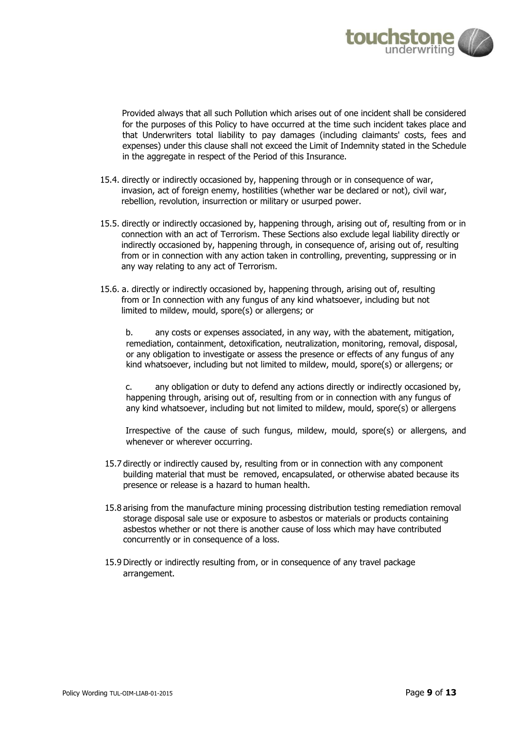

Provided always that all such Pollution which arises out of one incident shall be considered for the purposes of this Policy to have occurred at the time such incident takes place and that Underwriters total liability to pay damages (including claimants' costs, fees and expenses) under this clause shall not exceed the Limit of Indemnity stated in the Schedule in the aggregate in respect of the Period of this Insurance.

- 15.4. directly or indirectly occasioned by, happening through or in consequence of war, invasion, act of foreign enemy, hostilities (whether war be declared or not), civil war, rebellion, revolution, insurrection or military or usurped power.
- 15.5. directly or indirectly occasioned by, happening through, arising out of, resulting from or in connection with an act of Terrorism. These Sections also exclude legal liability directly or indirectly occasioned by, happening through, in consequence of, arising out of, resulting from or in connection with any action taken in controlling, preventing, suppressing or in any way relating to any act of Terrorism.
- 15.6. a. directly or indirectly occasioned by, happening through, arising out of, resulting from or In connection with any fungus of any kind whatsoever, including but not limited to mildew, mould, spore(s) or allergens; or

b. any costs or expenses associated, in any way, with the abatement, mitigation, remediation, containment, detoxification, neutralization, monitoring, removal, disposal, or any obligation to investigate or assess the presence or effects of any fungus of any kind whatsoever, including but not limited to mildew, mould, spore(s) or allergens; or

c. any obligation or duty to defend any actions directly or indirectly occasioned by, happening through, arising out of, resulting from or in connection with any fungus of any kind whatsoever, including but not limited to mildew, mould, spore(s) or allergens

Irrespective of the cause of such fungus, mildew, mould, spore(s) or allergens, and whenever or wherever occurring.

- 15.7 directly or indirectly caused by, resulting from or in connection with any component building material that must be removed, encapsulated, or otherwise abated because its presence or release is a hazard to human health.
- 15.8 arising from the manufacture mining processing distribution testing remediation removal storage disposal sale use or exposure to asbestos or materials or products containing asbestos whether or not there is another cause of loss which may have contributed concurrently or in consequence of a loss.
- 15.9 Directly or indirectly resulting from, or in consequence of any travel package arrangement.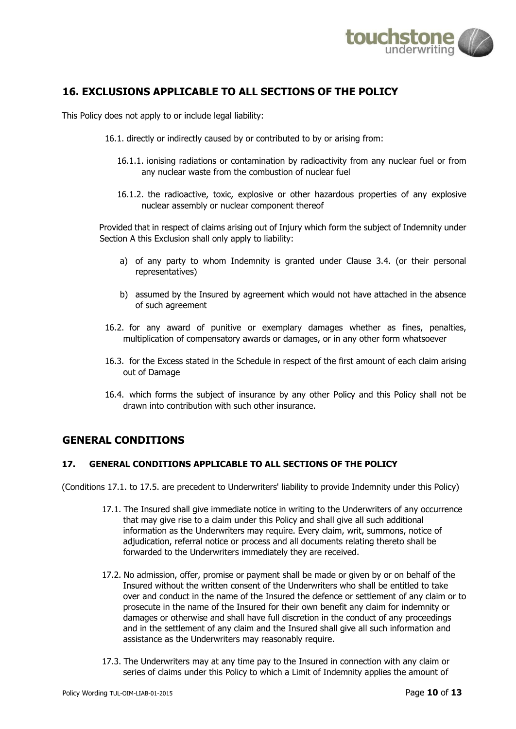

# **16. EXCLUSIONS APPLICABLE TO ALL SECTIONS OF THE POLICY**

This Policy does not apply to or include legal liability:

- 16.1. directly or indirectly caused by or contributed to by or arising from:
	- 16.1.1. ionising radiations or contamination by radioactivity from any nuclear fuel or from any nuclear waste from the combustion of nuclear fuel
	- 16.1.2. the radioactive, toxic, explosive or other hazardous properties of any explosive nuclear assembly or nuclear component thereof

Provided that in respect of claims arising out of Injury which form the subject of Indemnity under Section A this Exclusion shall only apply to liability:

- a) of any party to whom Indemnity is granted under Clause 3.4. (or their personal representatives)
- b) assumed by the Insured by agreement which would not have attached in the absence of such agreement
- 16.2. for any award of punitive or exemplary damages whether as fines, penalties, multiplication of compensatory awards or damages, or in any other form whatsoever
- 16.3. for the Excess stated in the Schedule in respect of the first amount of each claim arising out of Damage
- 16.4. which forms the subject of insurance by any other Policy and this Policy shall not be drawn into contribution with such other insurance.

# **GENERAL CONDITIONS**

## **17. GENERAL CONDITIONS APPLICABLE TO ALL SECTIONS OF THE POLICY**

(Conditions 17.1. to 17.5. are precedent to Underwriters' liability to provide Indemnity under this Policy)

- 17.1. The Insured shall give immediate notice in writing to the Underwriters of any occurrence that may give rise to a claim under this Policy and shall give all such additional information as the Underwriters may require. Every claim, writ, summons, notice of adjudication, referral notice or process and all documents relating thereto shall be forwarded to the Underwriters immediately they are received.
- 17.2. No admission, offer, promise or payment shall be made or given by or on behalf of the Insured without the written consent of the Underwriters who shall be entitled to take over and conduct in the name of the Insured the defence or settlement of any claim or to prosecute in the name of the Insured for their own benefit any claim for indemnity or damages or otherwise and shall have full discretion in the conduct of any proceedings and in the settlement of any claim and the Insured shall give all such information and assistance as the Underwriters may reasonably require.
- 17.3. The Underwriters may at any time pay to the Insured in connection with any claim or series of claims under this Policy to which a Limit of Indemnity applies the amount of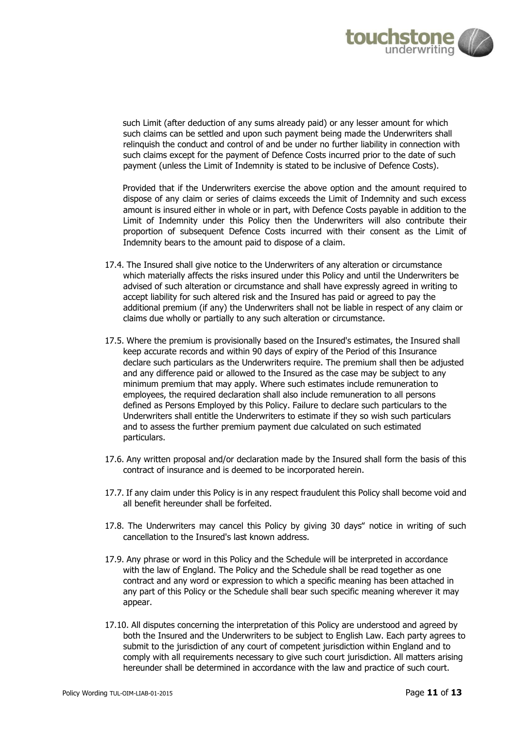

such Limit (after deduction of any sums already paid) or any lesser amount for which such claims can be settled and upon such payment being made the Underwriters shall relinquish the conduct and control of and be under no further liability in connection with such claims except for the payment of Defence Costs incurred prior to the date of such payment (unless the Limit of Indemnity is stated to be inclusive of Defence Costs).

Provided that if the Underwriters exercise the above option and the amount required to dispose of any claim or series of claims exceeds the Limit of Indemnity and such excess amount is insured either in whole or in part, with Defence Costs payable in addition to the Limit of Indemnity under this Policy then the Underwriters will also contribute their proportion of subsequent Defence Costs incurred with their consent as the Limit of Indemnity bears to the amount paid to dispose of a claim.

- 17.4. The Insured shall give notice to the Underwriters of any alteration or circumstance which materially affects the risks insured under this Policy and until the Underwriters be advised of such alteration or circumstance and shall have expressly agreed in writing to accept liability for such altered risk and the Insured has paid or agreed to pay the additional premium (if any) the Underwriters shall not be liable in respect of any claim or claims due wholly or partially to any such alteration or circumstance.
- 17.5. Where the premium is provisionally based on the Insured's estimates, the Insured shall keep accurate records and within 90 days of expiry of the Period of this Insurance declare such particulars as the Underwriters require. The premium shall then be adjusted and any difference paid or allowed to the Insured as the case may be subject to any minimum premium that may apply. Where such estimates include remuneration to employees, the required declaration shall also include remuneration to all persons defined as Persons Employed by this Policy. Failure to declare such particulars to the Underwriters shall entitle the Underwriters to estimate if they so wish such particulars and to assess the further premium payment due calculated on such estimated particulars.
- 17.6. Any written proposal and/or declaration made by the Insured shall form the basis of this contract of insurance and is deemed to be incorporated herein.
- 17.7. If any claim under this Policy is in any respect fraudulent this Policy shall become void and all benefit hereunder shall be forfeited.
- 17.8. The Underwriters may cancel this Policy by giving 30 days" notice in writing of such cancellation to the Insured's last known address.
- 17.9. Any phrase or word in this Policy and the Schedule will be interpreted in accordance with the law of England. The Policy and the Schedule shall be read together as one contract and any word or expression to which a specific meaning has been attached in any part of this Policy or the Schedule shall bear such specific meaning wherever it may appear.
- 17.10. All disputes concerning the interpretation of this Policy are understood and agreed by both the Insured and the Underwriters to be subject to English Law. Each party agrees to submit to the jurisdiction of any court of competent jurisdiction within England and to comply with all requirements necessary to give such court jurisdiction. All matters arising hereunder shall be determined in accordance with the law and practice of such court.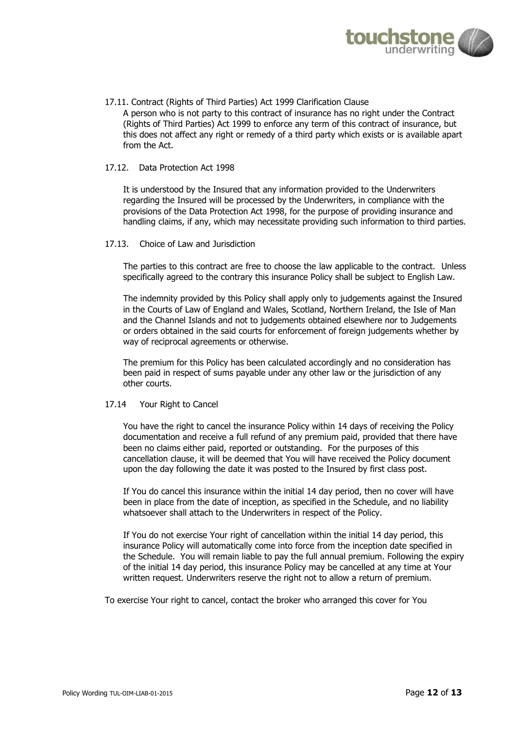

17.11. Contract (Rights of Third Parties) Act 1999 Clarification Clause A person who is not party to this contract of insurance has no right under the Contract (Rights of Third Parties) Act 1999 to enforce any term of this contract of insurance, but this does not affect any right or remedy of a third party which exists or is available apart from the Act.

#### 17.12.Data Protection Act 1998

It is understood by the Insured that any information provided to the Underwriters regarding the Insured will be processed by the Underwriters, in compliance with the provisions of the Data Protection Act 1998, for the purpose of providing insurance and handling claims, if any, which may necessitate providing such information to third parties.

17.13. Choice of Law and Jurisdiction

The parties to this contract are free to choose the law applicable to the contract. Unless specifically agreed to the contrary this insurance Policy shall be subject to English Law.

The indemnity provided by this Policy shall apply only to judgements against the Insured in the Courts of Law of England and Wales, Scotland, Northern Ireland, the Isle of Man and the Channel Islands and not to judgements obtained elsewhere nor to Judgements or orders obtained in the said courts for enforcement of foreign judgements whether by way of reciprocal agreements or otherwise.

The premium for this Policy has been calculated accordingly and no consideration has been paid in respect of sums payable under any other law or the jurisdiction of any other courts.

#### 17.14 Your Right to Cancel

You have the right to cancel the insurance Policy within 14 days of receiving the Policy documentation and receive a full refund of any premium paid, provided that there have been no claims either paid, reported or outstanding. For the purposes of this cancellation clause, it will be deemed that You will have received the Policy document upon the day following the date it was posted to the Insured by first class post.

If You do cancel this insurance within the initial 14 day period, then no cover will have been in place from the date of inception, as specified in the Schedule, and no liability whatsoever shall attach to the Underwriters in respect of the Policy.

If You do not exercise Your right of cancellation within the initial 14 day period, this insurance Policy will automatically come into force from the inception date specified in the Schedule. You will remain liable to pay the full annual premium. Following the expiry of the initial 14 day period, this insurance Policy may be cancelled at any time at Your written request. Underwriters reserve the right not to allow a return of premium.

To exercise Your right to cancel, contact the broker who arranged this cover for You